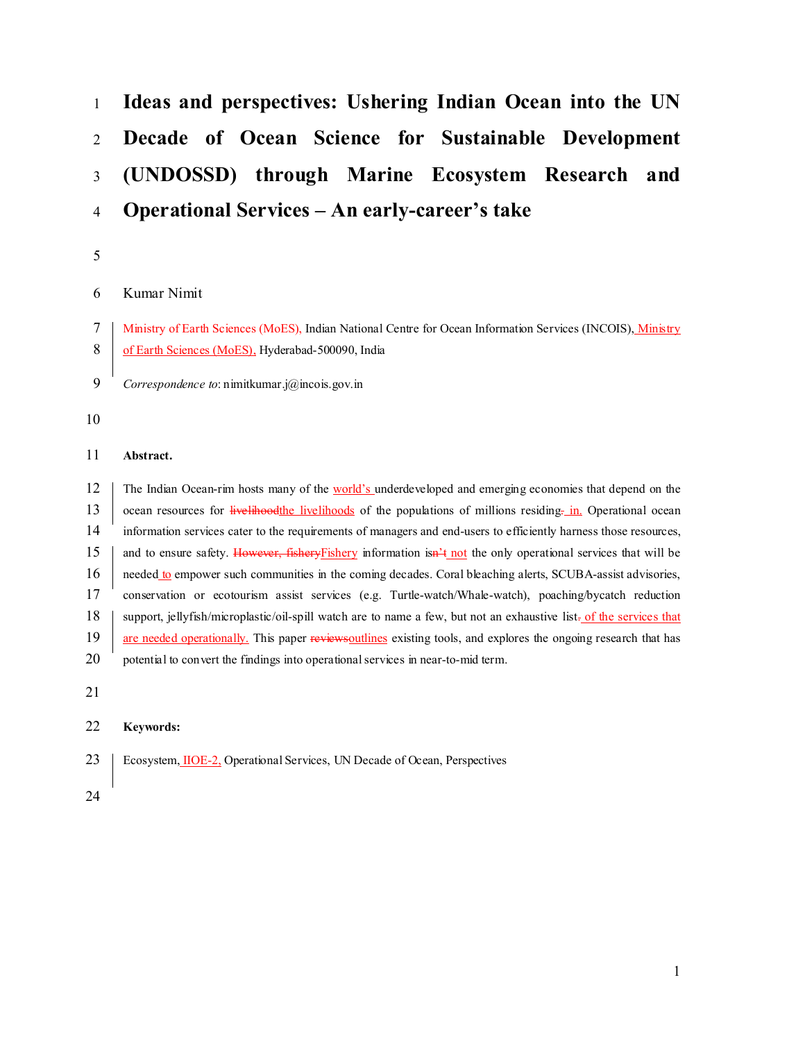# **Ideas and perspectives: Ushering Indian Ocean into the UN Decade of Ocean Science for Sustainable Development (UNDOSSD) through Marine Ecosystem Research and Operational Services – An early-career's take**

# Kumar Nimit

 Ministry of Earth Sciences (MoES), Indian National Centre for Ocean Information Services (INCOIS), Ministry 8 of Earth Sciences (MoES), Hyderabad-500090, India

- *Correspondence to*: nimitkumar.j@incois.gov.in
- 

## **Abstract.**

12 The Indian Ocean-rim hosts many of the world's underdeveloped and emerging economies that depend on the 13 ocean resources for livelihoodthe livelihoods of the populations of millions residing. in Operational ocean information services cater to the requirements of managers and end-users to efficiently harness those resources, 15 and to ensure safety. However, fisheryFishery information isn<sup>2</sup>t not the only operational services that will be 16 needed to empower such communities in the coming decades. Coral bleaching alerts, SCUBA-assist advisories, conservation or ecotourism assist services (e.g. Turtle-watch/Whale-watch), poaching/bycatch reduction support, jellyfish/microplastic/oil-spill watch are to name a few, but not an exhaustive list. of the services that 19 are needed operationally. This paper reviews outlines existing tools, and explores the ongoing research that has 20 potential to convert the findings into operational services in near-to-mid term.

# **Keywords:**

- Ecosystem, IIOE-2, Operational Services, UN Decade of Ocean, Perspectives
-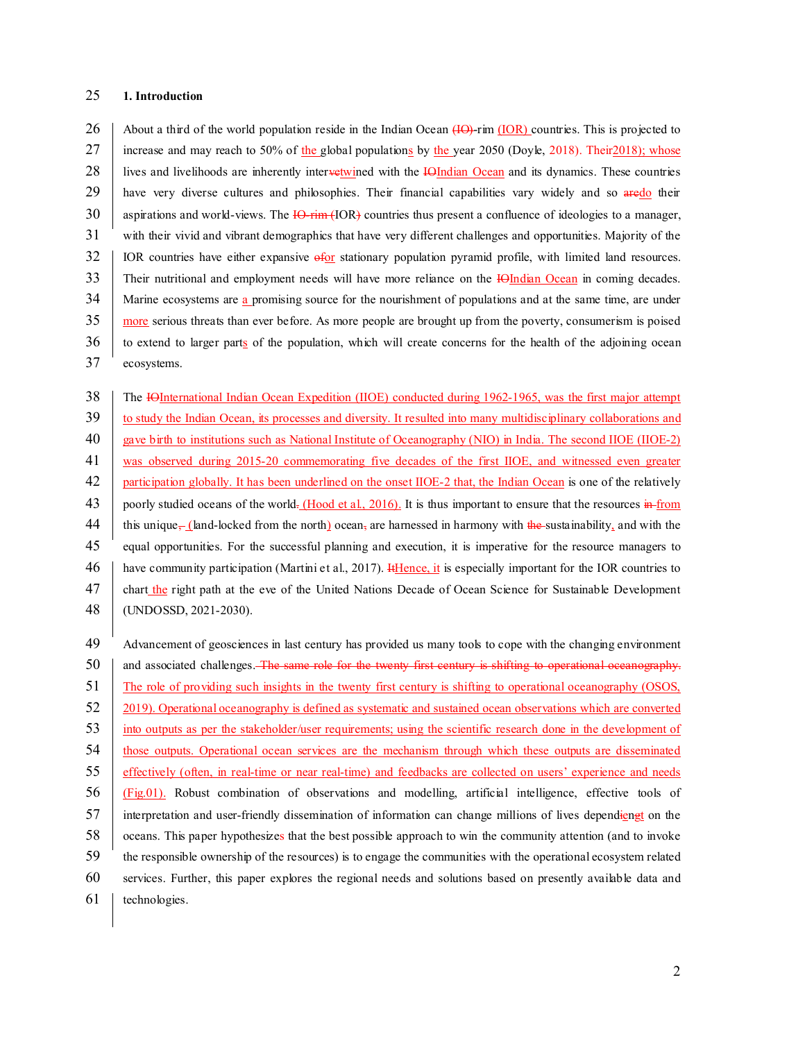## **1. Introduction**

26 About a third of the world population reside in the Indian Ocean  $(H\Theta)$ -rim (IOR) countries. This is projected to 27 increase and may reach to 50% of the global populations by the year 2050 (Doyle, 2018). Their 2018); whose 28 lives and livelihoods are inherently intervetwined with the IOIndian Ocean and its dynamics. These countries 29 have very diverse cultures and philosophies. Their financial capabilities vary widely and so aredo their 30 aspirations and world-views. The -rim (IOR) countries thus present a confluence of ideologies to a manager, with their vivid and vibrant demographics that have very different challenges and opportunities. Majority of the IOR countries have either expansive  $\frac{1}{20}$  stationary population pyramid profile, with limited land resources. 33 Their nutritional and employment needs will have more reliance on the **IOIndian Ocean** in coming decades. 34 Marine ecosystems are a promising source for the nourishment of populations and at the same time, are under 35 more serious threats than ever before. As more people are brought up from the poverty, consumerism is poised to extend to larger parts of the population, which will create concerns for the health of the adjoining ocean ecosystems.

38 The IOInternational Indian Ocean Expedition (IIOE) conducted during 1962-1965, was the first major attempt 39 to study the Indian Ocean, its processes and diversity. It resulted into many multidisciplinary collaborations and gave birth to institutions such as National Institute of Oceanography (NIO) in India. The second IIOE (IIOE-2) was observed during 2015-20 commemorating five decades of the first IIOE, and witnessed even greater participation globally. It has been underlined on the onset IIOE-2 that, the Indian Ocean is one of the relatively 43 poorly studied oceans of the world. (Hood et al., 2016). It is thus important to ensure that the resources  $\frac{1}{2}$  from 44 this unique, (land-locked from the north) ocean, are harnessed in harmony with the sustainability, and with the equal opportunities. For the successful planning and execution, it is imperative for the resource managers to 46 have community participation (Martini et al., 2017). It Hence, it is especially important for the IOR countries to 47 chart the right path at the eve of the United Nations Decade of Ocean Science for Sustainable Development (UNDOSSD, 2021-2030).

 Advancement of geosciences in last century has provided us many tools to cope with the changing environment 50 and associated challenges. The same role for the twenty first century is shifting to operational oceanography. The role of providing such insights in the twenty first century is shifting to operational oceanography (OSOS, 2019). Operational oceanography is defined as systematic and sustained ocean observations which are converted into outputs as per the stakeholder/user requirements; using the scientific research done in the development of 54 those outputs. Operational ocean services are the mechanism through which these outputs are disseminated effectively (often, in real-time or near real-time) and feedbacks are collected on users' experience and needs (Fig.01). Robust combination of observations and modelling, artificial intelligence, effective tools of interpretation and user-friendly dissemination of information can change millions of lives dependiengt on the oceans. This paper hypothesizes that the best possible approach to win the community attention (and to invoke the responsible ownership of the resources) is to engage the communities with the operational ecosystem related services. Further, this paper explores the regional needs and solutions based on presently available data and technologies.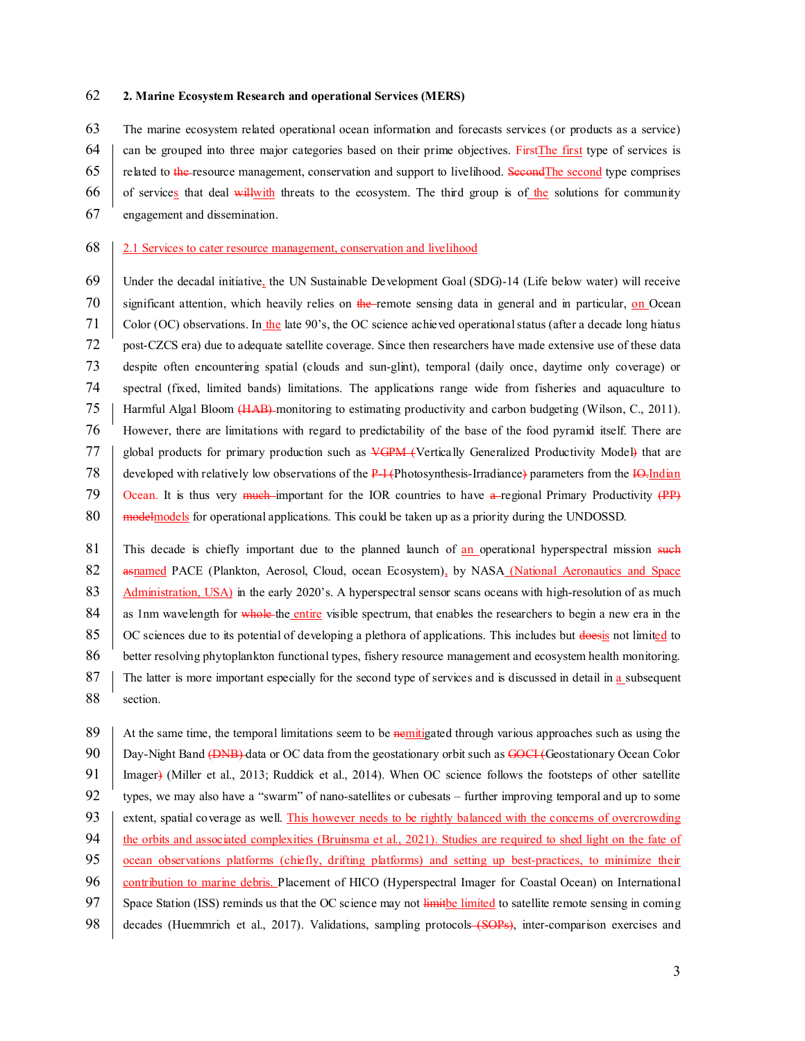#### 62 **2. Marine Ecosystem Research and operational Services (MERS)**

63 The marine ecosystem related operational ocean information and forecasts services (or products as a service)

 $64$  can be grouped into three major categories based on their prime objectives. FirstThe first type of services is

- 65 related to the resource management, conservation and support to livelihood. SecondThe second type comprises
- 66 of services that deal will with threats to the ecosystem. The third group is of the solutions for community
- 67 engagement and dissemination.

#### 68 2.1 Services to cater resource management, conservation and livelihood

- 69 Under the decadal initiative, the UN Sustainable Development Goal (SDG)-14 (Life below water) will receive 70 significant attention, which heavily relies on the remote sensing data in general and in particular, on Ocean 71 Color (OC) observations. In the late  $90$ 's, the OC science achieved operational status (after a decade long hiatus 72 post-CZCS era) due to adequate satellite coverage. Since then researchers have made extensive use of these data 73 despite often encountering spatial (clouds and sun-glint), temporal (daily once, daytime only coverage) or 74 spectral (fixed, limited bands) limitations. The applications range wide from fisheries and aquaculture to 75 Harmful Algal Bloom (HAB) monitoring to estimating productivity and carbon budgeting (Wilson, C., 2011). 76 However, there are limitations with regard to predictability of the base of the food pyramid itself. There are 77 | global products for primary production such as VGPM (Vertically Generalized Productivity Model) that are 78 developed with relatively low observations of the  $P-I$  (Photosynthesis-Irradiance) parameters from the  $IQ$ -Indian 79 Ocean. It is thus very much important for the IOR countries to have a regional Primary Productivity  $(PP)$ 80 modelmodels for operational applications. This could be taken up as a priority during the UNDOSSD.
- 81 This decade is chiefly important due to the planned launch of an operational hyperspectral mission such 82 **asnamed PACE (Plankton, Aerosol, Cloud, ocean Ecosystem)**, by NASA (National Aeronautics and Space 83 Administration, USA) in the early 2020's. A hyperspectral sensor scans oceans with high-resolution of as much 84 as 1nm wavelength for whole the entire visible spectrum, that enables the researchers to begin a new era in the 85  $\circ$  OC sciences due to its potential of developing a plethora of applications. This includes but doesis not limited to 86 better resolving phytoplankton functional types, fishery resource management and ecosystem health monitoring. 87 The latter is more important especially for the second type of services and is discussed in detail in a subsequent 88 section.

89 At the same time, the temporal limitations seem to be nemitigated through various approaches such as using the 90 Day-Night Band (DNB) data or OC data from the geostationary orbit such as GOCI (Geostationary Ocean Color 91 Imager) (Miller et al., 2013; Ruddick et al., 2014). When OC science follows the footsteps of other satellite 92 types, we may also have a "swarm" of nano-satellites or cubesats – further improving temporal and up to some 93 extent, spatial coverage as well. This however needs to be rightly balanced with the concerns of overcrowding 94 the orbits and associated complexities (Bruinsma et al., 2021). Studies are required to shed light on the fate of 95 ocean observations platforms (chiefly, drifting platforms) and setting up best-practices, to minimize their 96 contribution to marine debris. Placement of HICO (Hyperspectral Imager for Coastal Ocean) on International 97 Space Station (ISS) reminds us that the OC science may not limit be limited to satellite remote sensing in coming 98 decades (Huemmrich et al., 2017). Validations, sampling protocols (SOPs), inter-comparison exercises and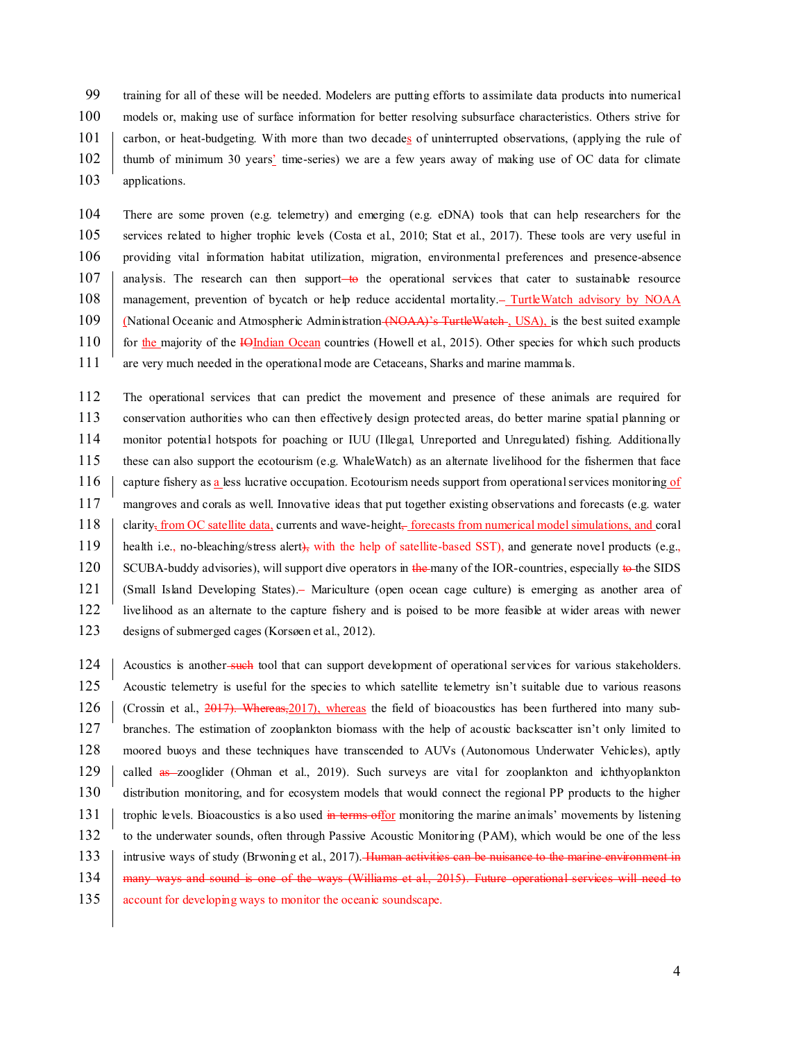99 training for all of these will be needed. Modelers are putting efforts to assimilate data products into numerical 100 models or, making use of surface information for better resolving subsurface characteristics. Others strive for 101 carbon, or heat-budgeting. With more than two decades of uninterrupted observations, (applying the rule of 102 thumb of minimum 30 years' time-series) we are a few years away of making use of OC data for climate 103 applications.

104 There are some proven (e.g. telemetry) and emerging (e.g. eDNA) tools that can help researchers for the 105 services related to higher trophic levels (Costa et al., 2010; Stat et al., 2017). These tools are very useful in 106 providing vital information habitat utilization, migration, environmental preferences and presence-absence 107 analysis. The research can then support to the operational services that cater to sustainable resource 108 management, prevention of bycatch or help reduce accidental mortality. TurtleWatch advisory by NOAA 109 (National Oceanic and Atmospheric Administration (NOAA)'s TurtleWatch., USA), is the best suited example 110 for the majority of the IOIndian Ocean countries (Howell et al., 2015). Other species for which such products 111 are very much needed in the operational mode are Cetaceans, Sharks and marine mammals.

 The operational services that can predict the movement and presence of these animals are required for conservation authorities who can then effectively design protected areas, do better marine spatial planning or monitor potential hotspots for poaching or IUU (Illegal, Unreported and Unregulated) fishing. Additionally these can also support the ecotourism (e.g. WhaleWatch) as an alternate livelihood for the fishermen that face 116 capture fishery as a less lucrative occupation. Ecotourism needs support from operational services monitoring of mangroves and corals as well. Innovative ideas that put together existing observations and forecasts (e.g. water 118 clarity, from OC satellite data, currents and wave-height, forecasts from numerical model simulations, and coral 119 health i.e., no-bleaching/stress alert), with the help of satellite-based SST), and generate novel products (e.g., 120 SCUBA-buddy advisories), will support dive operators in the many of the IOR-countries, especially to the SIDS (Small Island Developing States). Mariculture (open ocean cage culture) is emerging as another area of livelihood as an alternate to the capture fishery and is poised to be more feasible at wider areas with newer designs of submerged cages (Korsøen et al., 2012).

124 Acoustics is another-such tool that can support development of operational services for various stakeholders. 125 Acoustic telemetry is useful for the species to which satellite telemetry isn't suitable due to various reasons  $126$  (Crossin et al.,  $2017$ ). Whereas,  $2017$ ), whereas the field of bioacoustics has been furthered into many sub-127 branches. The estimation of zooplankton biomass with the help of acoustic backscatter isn't only limited to 128 moored buoys and these techniques have transcended to AUVs (Autonomous Underwater Vehicles), aptly 129 called as zooglider (Ohman et al., 2019). Such surveys are vital for zooplankton and ichthyoplankton 130 distribution monitoring, and for ecosystem models that would connect the regional PP products to the higher 131 trophic levels. Bioacoustics is also used in terms offor monitoring the marine animals' movements by listening 132 to the underwater sounds, often through Passive Acoustic Monitoring (PAM), which would be one of the less 133 intrusive ways of study (Brwoning et al., 2017). Human activities can be nuisance to the marine environment in 134 many ways and sound is one of the ways (Williams et al., 2015). Future operational services will need to 135 account for developing ways to monitor the oceanic soundscape.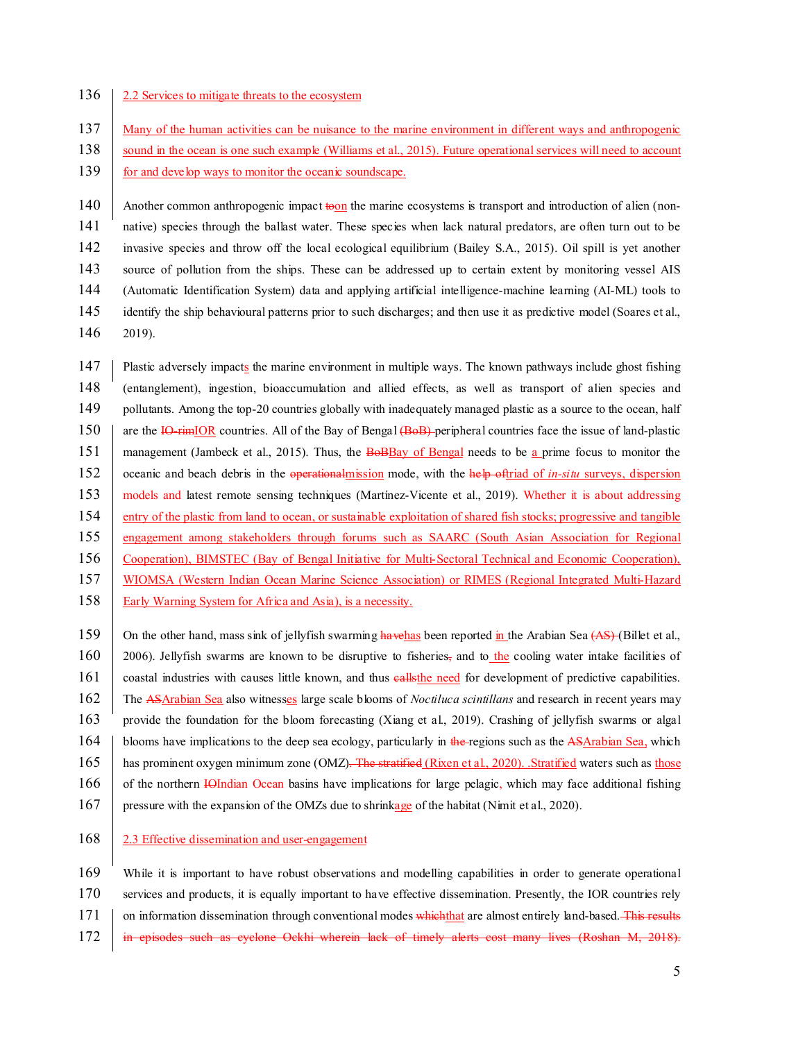## 136 2.2 Services to mitigate threats to the ecosystem

- 137 Many of the human activities can be nuisance to the marine environment in different ways and anthropogenic
- 138 sound in the ocean is one such example (Williams et al., 2015). Future operational services will need to account 139 for and develop ways to monitor the oceanic soundscape.

140 Another common anthropogenic impact to the marine ecosystems is transport and introduction of alien (non- native) species through the ballast water. These species when lack natural predators, are often turn out to be invasive species and throw off the local ecological equilibrium (Bailey S.A., 2015). Oil spill is yet another source of pollution from the ships. These can be addressed up to certain extent by monitoring vessel AIS (Automatic Identification System) data and applying artificial intelligence-machine learning (AI-ML) tools to 145 identify the ship behavioural patterns prior to such discharges; and then use it as predictive model (Soares et al.,

146 2019).

147 | Plastic adversely impacts the marine environment in multiple ways. The known pathways include ghost fishing 148 (entanglement), ingestion, bioaccumulation and allied effects, as well as transport of alien species and 149 pollutants. Among the top-20 countries globally with inadequately managed plastic as a source to the ocean, half 150 are the IO-rimIOR countries. All of the Bay of Bengal (BoB) peripheral countries face the issue of land-plastic 151 management (Jambeck et al., 2015). Thus, the **BoBBay of Bengal** needs to be a prime focus to monitor the 152 oceanic and beach debris in the operational mission mode, with the help oftriad of *in-situ* surveys, dispersion 153 models and latest remote sensing techniques (Martínez-Vicente et al., 2019). Whether it is about addressing 154 entry of the plastic from land to ocean, or sustainable exploitation of shared fish stocks; progressive and tangible 155 engagement among stakeholders through forums such as SAARC (South Asian Association for Regional 156 Cooperation), BIMSTEC (Bay of Bengal Initiative for Multi-Sectoral Technical and Economic Cooperation), 157 WIOMSA (Western Indian Ocean Marine Science Association) or RIMES (Regional Integrated Multi-Hazard 158 Early Warning System for Africa and Asia), is a necessity.

159 On the other hand, mass sink of jellyfish swarming havehas been reported in the Arabian Sea  $(AS)$  (Billet et al., 160 2006). Jellyfish swarms are known to be disruptive to fisheries, and to the cooling water intake facilities of 161 coastal industries with causes little known, and thus **calls**the need for development of predictive capabilities. 162 The ASArabian Sea also witnesses large scale blooms of *Noctiluca scintillans* and research in recent years may 163 provide the foundation for the bloom forecasting (Xiang et al., 2019). Crashing of jellyfish swarms or algal 164 blooms have implications to the deep sea ecology, particularly in the regions such as the ASArabian Sea, which 165 has prominent oxygen minimum zone (OMZ). The stratified (Rixen et al., 2020). Stratified waters such as those 166 of the northern IOIndian Ocean basins have implications for large pelagic, which may face additional fishing 167 pressure with the expansion of the OMZs due to shrinkage of the habitat (Nimit et al., 2020).

168 2.3 Effective dissemination and user-engagement

 While it is important to have robust observations and modelling capabilities in order to generate operational services and products, it is equally important to have effective dissemination. Presently, the IOR countries rely 171 on information dissemination through conventional modes which that are almost entirely land-based. This results in episodes such as cyclone Ockhi wherein lack of timely alerts cost many lives (Roshan M, 2018).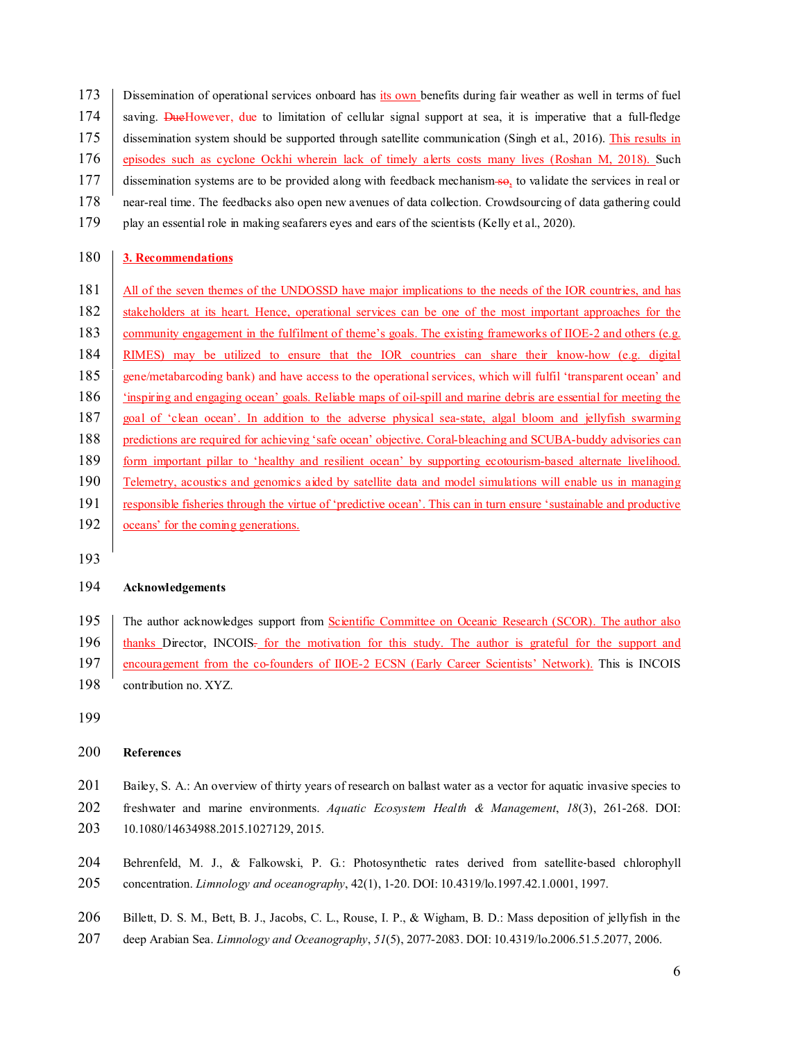173 Dissemination of operational services onboard has its own benefits during fair weather as well in terms of fuel 174 saving. DueHowever, due to limitation of cellular signal support at sea, it is imperative that a full-fledge 175 dissemination system should be supported through satellite communication (Singh et al., 2016). This results in 176 episodes such as cyclone Ockhi wherein lack of timely alerts costs many lives (Roshan M, 2018). Such 177 dissemination systems are to be provided along with feedback mechanism-so, to validate the services in real or 178 near-real time. The feedbacks also open new avenues of data collection. Crowdsourcing of data gathering could 179 play an essential role in making seafarers eyes and ears of the scientists (Kelly et al., 2020).

## 180 **3. Recommendations**

181 All of the seven themes of the UNDOSSD have major implications to the needs of the IOR countries, and has 182 stakeholders at its heart. Hence, operational services can be one of the most important approaches for the 183 community engagement in the fulfilment of theme's goals. The existing frameworks of IIOE-2 and others (e.g. 184 RIMES) may be utilized to ensure that the IOR countries can share their know-how (e.g. digital 185 gene/metabarcoding bank) and have access to the operational services, which will fulfil 'transparent ocean' and 186 'inspiring and engaging ocean' goals. Reliable maps of oil-spill and marine debris are essential for meeting the 187 goal of 'clean ocean'. In addition to the adverse physical sea-state, algal bloom and jellyfish swarming 188 predictions are required for achieving 'safe ocean' objective. Coral-bleaching and SCUBA-buddy advisories can 189 form important pillar to 'healthy and resilient ocean' by supporting ecotourism-based alternate livelihood. 190 Telemetry, acoustics and genomics aided by satellite data and model simulations will enable us in managing 191 responsible fisheries through the virtue of 'predictive ocean'. This can in turn ensure 'sustainable and productive 192 oceans' for the coming generations.

193

## 194 **Acknowledgements**

195 The author acknowledges support from **Scientific Committee on Oceanic Research (SCOR)**. The author also 196 thanks Director, INCOIS. for the motivation for this study. The author is grateful for the support and 197 encouragement from the co-founders of IIOE-2 ECSN (Early Career Scientists' Network). This is INCOIS 198 contribution no. XYZ.

199

#### 200 **References**

201 Bailey, S. A.: An overview of thirty years of research on ballast water as a vector for aquatic invasive species to 202 freshwater and marine environments. *Aquatic Ecosystem Health & Management*, *18*(3), 261-268. DOI: 203 10.1080/14634988.2015.1027129, 2015.

204 Behrenfeld, M. J., & Falkowski, P. G.: Photosynthetic rates derived from satellite-based chlorophyll 205 concentration. *Limnology and oceanography*, 42(1), 1-20. DOI: 10.4319/lo.1997.42.1.0001, 1997.

206 Billett, D. S. M., Bett, B. J., Jacobs, C. L., Rouse, I. P., & Wigham, B. D.: Mass deposition of jellyfish in the 207 deep Arabian Sea. *Limnology and Oceanography*, *51*(5), 2077-2083. DOI: 10.4319/lo.2006.51.5.2077, 2006.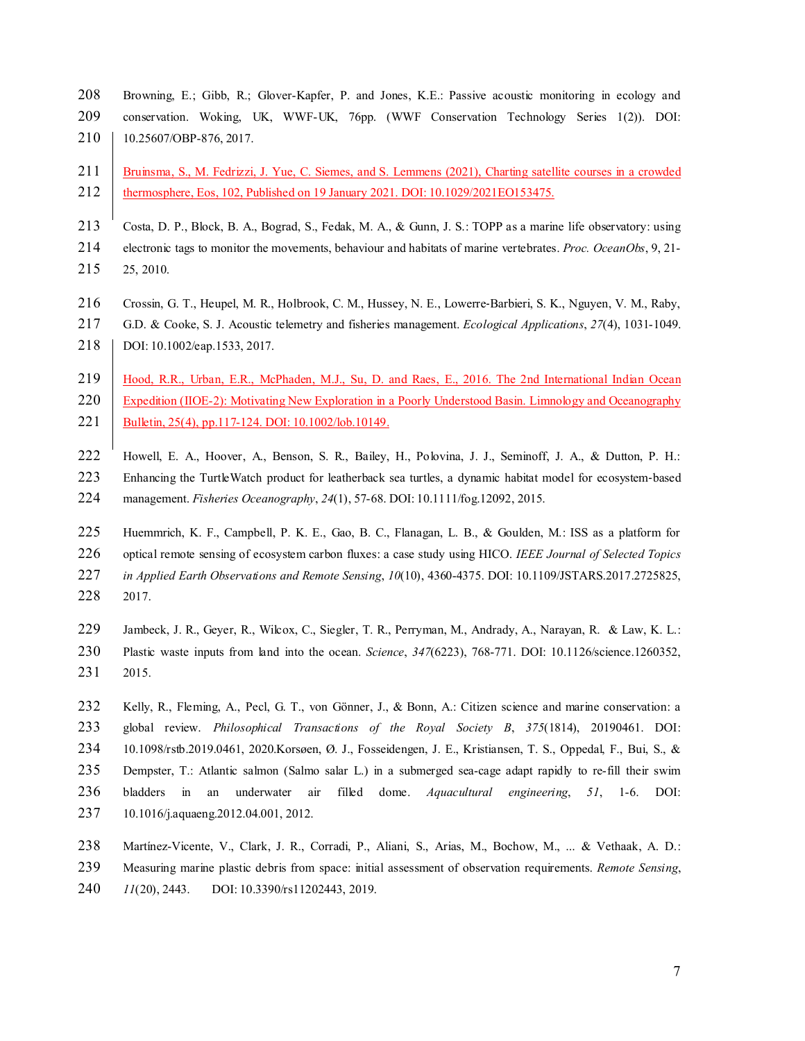Browning, E.; Gibb, R.; Glover-Kapfer, P. and Jones, K.E.: Passive acoustic monitoring in ecology and conservation. Woking, UK, WWF-UK, 76pp. (WWF Conservation Technology Series 1(2)). DOI: 210 | 10.25607/OBP-876, 2017.

# 211 Bruinsma, S., M. Fedrizzi, J. Yue, C. Siemes, and S. Lemmens (2021), Charting satellite courses in a crowded thermosphere, Eos, 102, Published on 19 January 2021. DOI: 10.1029/2021EO153475.

213 Costa, D. P., Block, B. A., Bograd, S., Fedak, M. A., & Gunn, J. S.: TOPP as a marine life observatory: using electronic tags to monitor the movements, behaviour and habitats of marine vertebrates. *Proc. OceanObs*, 9, 21- 25, 2010.

- Crossin, G. T., Heupel, M. R., Holbrook, C. M., Hussey, N. E., Lowerre‐Barbieri, S. K., Nguyen, V. M., Raby,
- G.D. & Cooke, S. J. Acoustic telemetry and fisheries management. *Ecological Applications*, *27*(4), 1031-1049.
- 218 | DOI: 10.1002/eap.1533, 2017.

 Hood, R.R., Urban, E.R., McPhaden, M.J., Su, D. and Raes, E., 2016. The 2nd International Indian Ocean 220 Expedition (IIOE-2): Motivating New Exploration in a Poorly Understood Basin. Limnology and Oceanography 221 Bulletin, 25(4), pp.117-124. DOI: 10.1002/lob.10149.

- Howell, E. A., Hoover, A., Benson, S. R., Bailey, H., Polovina, J. J., Seminoff, J. A., & Dutton, P. H.:
- 223 Enhancing the TurtleWatch product for leatherback sea turtles, a dynamic habitat model for ecosystem-based
- management. *Fisheries Oceanography*, *24*(1), 57-68. DOI: 10.1111/fog.12092, 2015.

 Huemmrich, K. F., Campbell, P. K. E., Gao, B. C., Flanagan, L. B., & Goulden, M.: ISS as a platform for optical remote sensing of ecosystem carbon fluxes: a case study using HICO. *IEEE Journal of Selected Topics in Applied Earth Observations and Remote Sensing*, *10*(10), 4360-4375. DOI: 10.1109/JSTARS.2017.2725825, 2017.

- 229 Jambeck, J. R., Geyer, R., Wilcox, C., Siegler, T. R., Perryman, M., Andrady, A., Narayan, R. & Law, K. L.: Plastic waste inputs from land into the ocean. *Science*, *347*(6223), 768-771. DOI: 10.1126/science.1260352, 2015.
- Kelly, R., Fleming, A., Pecl, G. T., von Gönner, J., & Bonn, A.: Citizen science and marine conservation: a global review. *Philosophical Transactions of the Royal Society B*, *375*(1814), 20190461. DOI: 10.1098/rstb.2019.0461, 2020.Korsøen, Ø. J., Fosseidengen, J. E., Kristiansen, T. S., Oppedal, F., Bui, S., & Dempster, T.: Atlantic salmon (Salmo salar L.) in a submerged sea-cage adapt rapidly to re-fill their swim bladders in an underwater air filled dome. *Aquacultural engineering*, *51*, 1-6. DOI: 10.1016/j.aquaeng.2012.04.001, 2012.
- Martínez-Vicente, V., Clark, J. R., Corradi, P., Aliani, S., Arias, M., Bochow, M., ... & Vethaak, A. D.: Measuring marine plastic debris from space: initial assessment of observation requirements. *Remote Sensing*, *11*(20), 2443. DOI: 10.3390/rs11202443, 2019.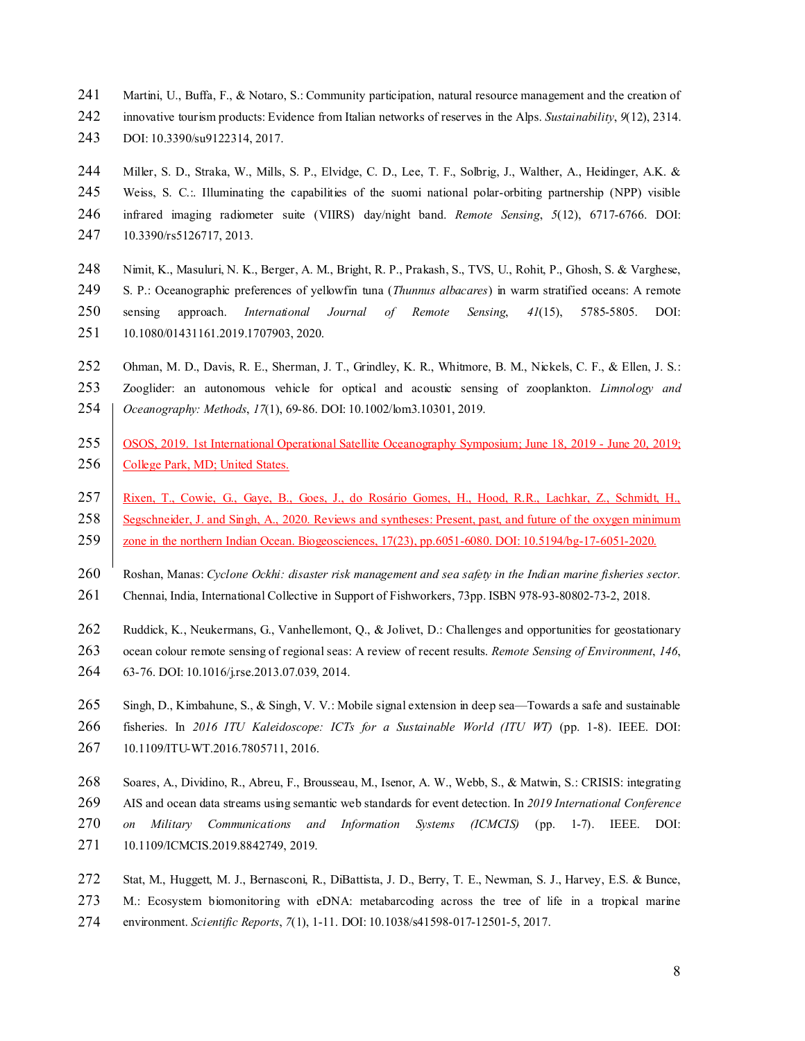- 241 Martini, U., Buffa, F., & Notaro, S.: Community participation, natural resource management and the creation of
- innovative tourism products: Evidence from Italian networks of reserves in the Alps. *Sustainability*, *9*(12), 2314.
- DOI: 10.3390/su9122314, 2017.

 Miller, S. D., Straka, W., Mills, S. P., Elvidge, C. D., Lee, T. F., Solbrig, J., Walther, A., Heidinger, A.K. & Weiss, S. C.:. Illuminating the capabilities of the suomi national polar-orbiting partnership (NPP) visible infrared imaging radiometer suite (VIIRS) day/night band. *Remote Sensing*, *5*(12), 6717-6766. DOI:

10.3390/rs5126717, 2013.

 Nimit, K., Masuluri, N. K., Berger, A. M., Bright, R. P., Prakash, S., TVS, U., Rohit, P., Ghosh, S. & Varghese, S. P.: Oceanographic preferences of yellowfin tuna (*Thunnus albacares*) in warm stratified oceans: A remote sensing approach. *International Journal of Remote Sensing*, *41*(15), 5785-5805. DOI: 10.1080/01431161.2019.1707903, 2020.

252 Ohman, M. D., Davis, R. E., Sherman, J. T., Grindley, K. R., Whitmore, B. M., Nickels, C. F., & Ellen, J. S.:

 Zooglider: an autonomous vehicle for optical and acoustic sensing of zooplankton. *Limnology and Oceanography: Methods*, *17*(1), 69-86. DOI: 10.1002/lom3.10301, 2019.

- OSOS, 2019. 1st International Operational Satellite Oceanography Symposium; June 18, 2019 June 20, 2019; 256 College Park, MD; United States.
- Rixen, T., Cowie, G., Gaye, B., Goes, J., do Rosário Gomes, H., Hood, R.R., Lachkar, Z., Schmidt, H., 258 Segschneider, J. and Singh, A., 2020. Reviews and syntheses: Present, past, and future of the oxygen minimum
- 259 zone in the northern Indian Ocean. Biogeosciences, 17(23), pp.6051-6080. DOI: 10.5194/bg-17-6051-2020.
- Roshan, Manas: *Cyclone Ockhi: disaster risk management and sea safety in the Indian marine fisheries sector.*
- Chennai, India, International Collective in Support of Fishworkers, 73pp. ISBN 978-93-80802-73-2, 2018.
- 262 Ruddick, K., Neukermans, G., Vanhellemont, Q., & Jolivet, D.: Challenges and opportunities for geostationary
- ocean colour remote sensing of regional seas: A review of recent results. *Remote Sensing of Environment*, *146*,
- 63-76. DOI: 10.1016/j.rse.2013.07.039, 2014.
- 265 Singh, D., Kimbahune, S., & Singh, V. V.: Mobile signal extension in deep sea—Towards a safe and sustainable
- fisheries. In *2016 ITU Kaleidoscope: ICTs for a Sustainable World (ITU WT)* (pp. 1-8). IEEE. DOI:
- 10.1109/ITU-WT.2016.7805711, 2016.
- Soares, A., Dividino, R., Abreu, F., Brousseau, M., Isenor, A. W., Webb, S., & Matwin, S.: CRISIS: integrating AIS and ocean data streams using semantic web standards for event detection. In *2019 International Conference on Military Communications and Information Systems (ICMCIS)* (pp. 1-7). IEEE. DOI: 10.1109/ICMCIS.2019.8842749, 2019.
- Stat, M., Huggett, M. J., Bernasconi, R., DiBattista, J. D., Berry, T. E., Newman, S. J., Harvey, E.S. & Bunce, M.: Ecosystem biomonitoring with eDNA: metabarcoding across the tree of life in a tropical marine environment. *Scientific Reports*, *7*(1), 1-11. DOI: 10.1038/s41598-017-12501-5, 2017.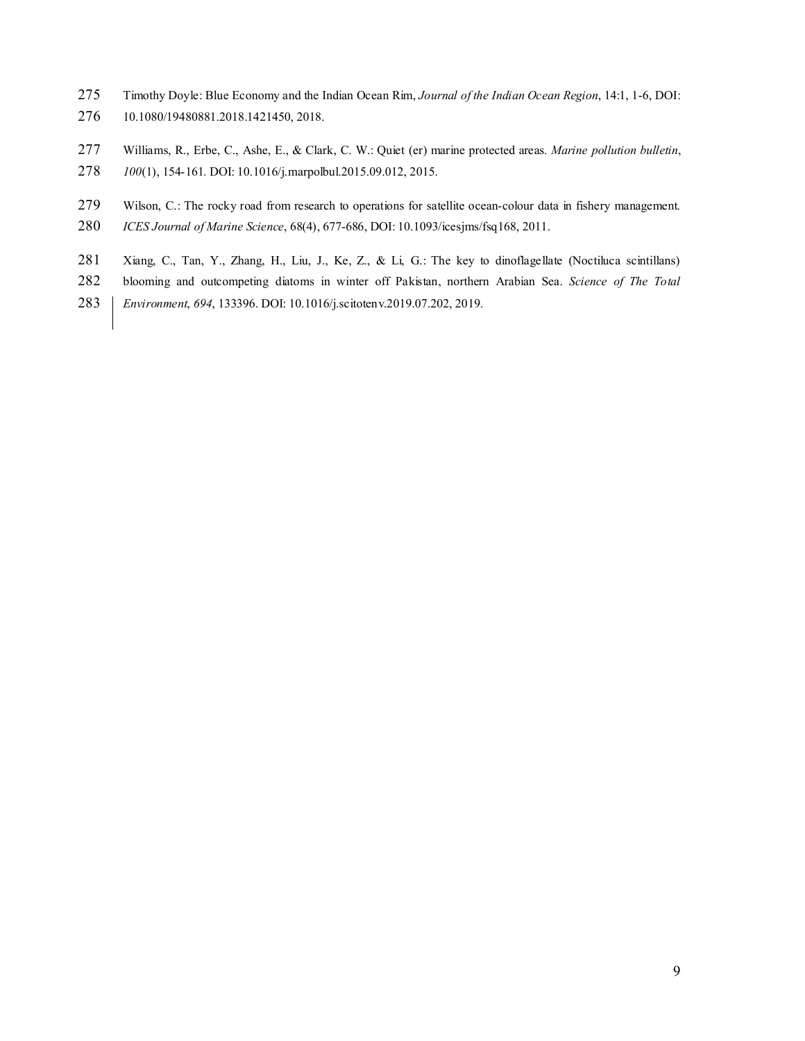- Timothy Doyle: Blue Economy and the Indian Ocean Rim, *Journal of the Indian Ocean Region*, 14:1, 1-6, DOI: 10.1080/19480881.2018.1421450, 2018.
- Williams, R., Erbe, C., Ashe, E., & Clark, C. W.: Quiet (er) marine protected areas. *Marine pollution bulletin*,
- *100*(1), 154-161. DOI: 10.1016/j.marpolbul.2015.09.012, 2015.
- Wilson, C.: The rocky road from research to operations for satellite ocean-colour data in fishery management. *ICES Journal of Marine Science*, 68(4), 677-686, DOI: 10.1093/icesjms/fsq168, 2011.
- Xiang, C., Tan, Y., Zhang, H., Liu, J., Ke, Z., & Li, G.: The key to dinoflagellate (Noctiluca scintillans)
- blooming and outcompeting diatoms in winter off Pakistan, northern Arabian Sea. *Science of The Total*
- *Environment*, *694*, 133396. DOI: 10.1016/j.scitotenv.2019.07.202, 2019.